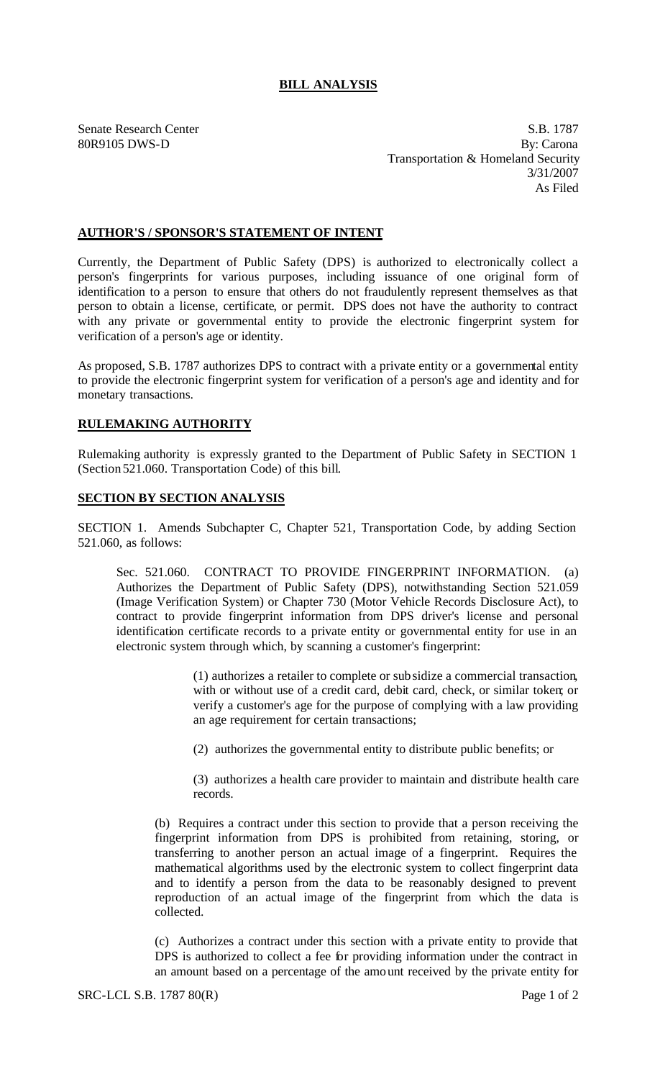## **BILL ANALYSIS**

Senate Research Center S.B. 1787 80R9105 DWS-D By: Carona Transportation & Homeland Security 3/31/2007 As Filed

## **AUTHOR'S / SPONSOR'S STATEMENT OF INTENT**

Currently, the Department of Public Safety (DPS) is authorized to electronically collect a person's fingerprints for various purposes, including issuance of one original form of identification to a person to ensure that others do not fraudulently represent themselves as that person to obtain a license, certificate, or permit. DPS does not have the authority to contract with any private or governmental entity to provide the electronic fingerprint system for verification of a person's age or identity.

As proposed, S.B. 1787 authorizes DPS to contract with a private entity or a governmental entity to provide the electronic fingerprint system for verification of a person's age and identity and for monetary transactions.

## **RULEMAKING AUTHORITY**

Rulemaking authority is expressly granted to the Department of Public Safety in SECTION 1 (Section 521.060. Transportation Code) of this bill.

## **SECTION BY SECTION ANALYSIS**

SECTION 1. Amends Subchapter C, Chapter 521, Transportation Code, by adding Section 521.060, as follows:

Sec. 521.060. CONTRACT TO PROVIDE FINGERPRINT INFORMATION. (a) Authorizes the Department of Public Safety (DPS), notwithstanding Section 521.059 (Image Verification System) or Chapter 730 (Motor Vehicle Records Disclosure Act), to contract to provide fingerprint information from DPS driver's license and personal identification certificate records to a private entity or governmental entity for use in an electronic system through which, by scanning a customer's fingerprint:

> (1) authorizes a retailer to complete or subsidize a commercial transaction, with or without use of a credit card, debit card, check, or similar token; or verify a customer's age for the purpose of complying with a law providing an age requirement for certain transactions;

(2) authorizes the governmental entity to distribute public benefits; or

(3) authorizes a health care provider to maintain and distribute health care records.

(b) Requires a contract under this section to provide that a person receiving the fingerprint information from DPS is prohibited from retaining, storing, or transferring to another person an actual image of a fingerprint. Requires the mathematical algorithms used by the electronic system to collect fingerprint data and to identify a person from the data to be reasonably designed to prevent reproduction of an actual image of the fingerprint from which the data is collected.

(c) Authorizes a contract under this section with a private entity to provide that DPS is authorized to collect a fee for providing information under the contract in an amount based on a percentage of the amount received by the private entity for